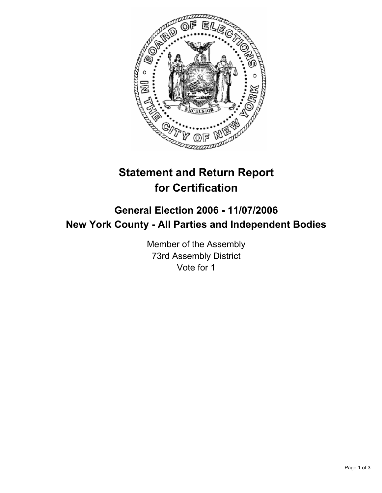

# **Statement and Return Report for Certification**

## **General Election 2006 - 11/07/2006 New York County - All Parties and Independent Bodies**

Member of the Assembly 73rd Assembly District Vote for 1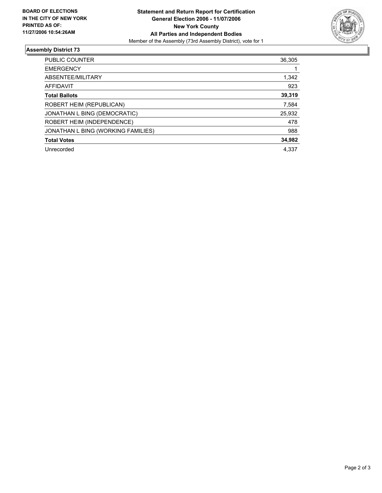

### **Assembly District 73**

| PUBLIC COUNTER                     | 36,305 |
|------------------------------------|--------|
| <b>EMERGENCY</b>                   |        |
| ABSENTEE/MILITARY                  | 1,342  |
| AFFIDAVIT                          | 923    |
| <b>Total Ballots</b>               | 39,319 |
| ROBERT HEIM (REPUBLICAN)           | 7,584  |
| JONATHAN L BING (DEMOCRATIC)       | 25,932 |
| ROBERT HEIM (INDEPENDENCE)         | 478    |
| JONATHAN L BING (WORKING FAMILIES) | 988    |
| <b>Total Votes</b>                 | 34,982 |
| Unrecorded                         | 4,337  |